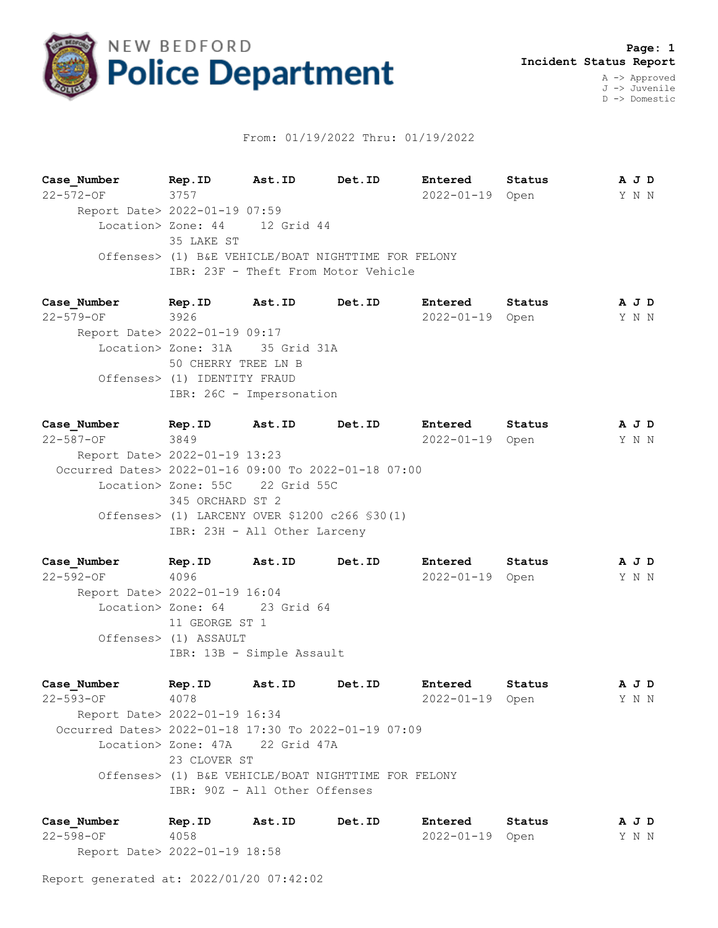

## From: 01/19/2022 Thru: 01/19/2022

**Case\_Number Rep.ID Ast.ID Det.ID Entered Status A J D** 22-572-OF 3757 2022-01-19 Open Y N N Report Date> 2022-01-19 07:59 Location> Zone: 44 12 Grid 44 35 LAKE ST Offenses> (1) B&E VEHICLE/BOAT NIGHTTIME FOR FELONY IBR: 23F - Theft From Motor Vehicle

**Case\_Number Rep.ID Ast.ID Det.ID Entered Status A J D** 22-579-OF 3926 2022-01-19 Open Y N N Report Date> 2022-01-19 09:17 Location> Zone: 31A 35 Grid 31A 50 CHERRY TREE LN B Offenses> (1) IDENTITY FRAUD IBR: 26C - Impersonation

**Case\_Number Rep.ID Ast.ID Det.ID Entered Status A J D** 22-587-OF 3849 2022-01-19 Open Y N N Report Date> 2022-01-19 13:23 Occurred Dates> 2022-01-16 09:00 To 2022-01-18 07:00 Location> Zone: 55C 22 Grid 55C 345 ORCHARD ST 2 Offenses> (1) LARCENY OVER \$1200 c266 §30(1) IBR: 23H - All Other Larceny

**Case\_Number Rep.ID Ast.ID Det.ID Entered Status A J D** 22-592-OF 4096 2022-01-19 Open Y N N Report Date> 2022-01-19 16:04 Location> Zone: 64 23 Grid 64 11 GEORGE ST 1 Offenses> (1) ASSAULT IBR: 13B - Simple Assault

**Case\_Number Rep.ID Ast.ID Det.ID Entered Status A J D** 22-593-OF 4078 2022-01-19 Open Y N N Report Date> 2022-01-19 16:34 Occurred Dates> 2022-01-18 17:30 To 2022-01-19 07:09 Location> Zone: 47A 22 Grid 47A 23 CLOVER ST Offenses> (1) B&E VEHICLE/BOAT NIGHTTIME FOR FELONY IBR: 90Z - All Other Offenses

**Case\_Number Rep.ID Ast.ID Det.ID Entered Status A J D** 22-598-OF 4058 2022-01-19 Open Y N N Report Date> 2022-01-19 18:58